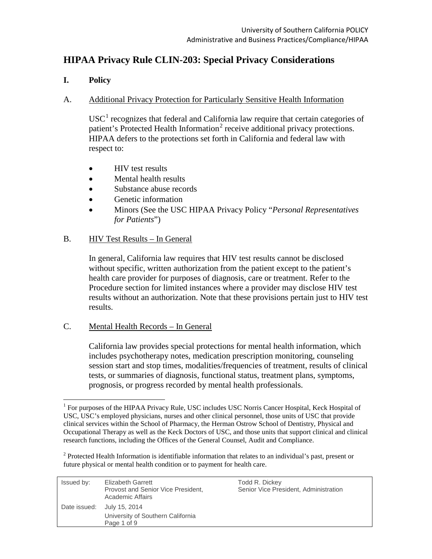# **HIPAA Privacy Rule CLIN-203: Special Privacy Considerations**

### **I. Policy**

#### A. Additional Privacy Protection for Particularly Sensitive Health Information

 $USC<sup>1</sup>$  $USC<sup>1</sup>$  $USC<sup>1</sup>$  recognizes that federal and California law require that certain categories of patient's Protected Health Information<sup>[2](#page-0-1)</sup> receive additional privacy protections. HIPAA defers to the protections set forth in California and federal law with respect to:

- HIV test results
- Mental health results
- Substance abuse records
- Genetic information
- Minors (See the USC HIPAA Privacy Policy "*Personal Representatives for Patients*")

#### B. HIV Test Results – In General

In general, California law requires that HIV test results cannot be disclosed without specific, written authorization from the patient except to the patient's health care provider for purposes of diagnosis, care or treatment. Refer to the Procedure section for limited instances where a provider may disclose HIV test results without an authorization. Note that these provisions pertain just to HIV test results.

#### C. Mental Health Records – In General

California law provides special protections for mental health information, which includes psychotherapy notes, medication prescription monitoring, counseling session start and stop times, modalities/frequencies of treatment, results of clinical tests, or summaries of diagnosis, functional status, treatment plans, symptoms, prognosis, or progress recorded by mental health professionals.

<sup>&</sup>lt;sup>2</sup> Protected Health Information is identifiable information that relates to an individual's past, present or future physical or mental health condition or to payment for health care.

<span id="page-0-1"></span>

| Issued by: | Elizabeth Garrett<br>Provost and Senior Vice President,<br>Academic Affairs | Todd R. Dickey<br>Senior Vice President, Administration |
|------------|-----------------------------------------------------------------------------|---------------------------------------------------------|
|            | Date issued: July 15, 2014<br>University of Southern California             |                                                         |
|            | Page 1 of 9                                                                 |                                                         |

<span id="page-0-0"></span><sup>&</sup>lt;sup>1</sup> For purposes of the HIPAA Privacy Rule, USC includes USC Norris Cancer Hospital, Keck Hospital of USC, USC's employed physicians, nurses and other clinical personnel, those units of USC that provide clinical services within the School of Pharmacy, the Herman Ostrow School of Dentistry, Physical and Occupational Therapy as well as the Keck Doctors of USC, and those units that support clinical and clinical research functions, including the Offices of the General Counsel, Audit and Compliance.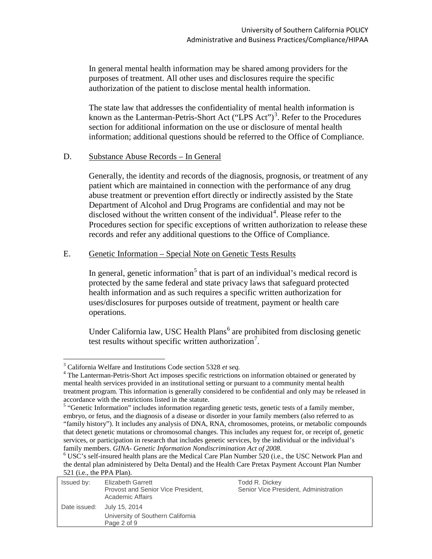In general mental health information may be shared among providers for the purposes of treatment. All other uses and disclosures require the specific authorization of the patient to disclose mental health information.

The state law that addresses the confidentiality of mental health information is known as the Lanterman-Petris-Short Act  $("LPS Act")^3$  $("LPS Act")^3$ . Refer to the Procedures section for additional information on the use or disclosure of mental health information; additional questions should be referred to the Office of Compliance.

#### D. Substance Abuse Records – In General

Generally, the identity and records of the diagnosis, prognosis, or treatment of any patient which are maintained in connection with the performance of any drug abuse treatment or prevention effort directly or indirectly assisted by the State Department of Alcohol and Drug Programs are confidential and may not be disclosed without the written consent of the individual<sup>[4](#page-1-1)</sup>. Please refer to the Procedures section for specific exceptions of written authorization to release these records and refer any additional questions to the Office of Compliance.

#### E. Genetic Information – Special Note on Genetic Tests Results

In general, genetic information<sup>[5](#page-1-2)</sup> that is part of an individual's medical record is protected by the same federal and state privacy laws that safeguard protected health information and as such requires a specific written authorization for uses/disclosures for purposes outside of treatment, payment or health care operations.

Under California law, USC Health Plans<sup> $6$ </sup> are prohibited from disclosing genetic test results without specific written authorization<sup>[7](#page-1-4)</sup>.

the dental plan administered by Delta Dental) and the Health Care Pretax Payment Account Plan Number 521 (i.e., the PPA Plan).

<span id="page-1-4"></span><span id="page-1-3"></span>

| $221$ , $122$ , $100$ , $111$ , $11$ , $101$ |                                                                                |                                                         |
|----------------------------------------------|--------------------------------------------------------------------------------|---------------------------------------------------------|
| Issued by:                                   | Elizabeth Garrett<br>Provost and Senior Vice President,<br>Academic Affairs    | Todd R. Dickey<br>Senior Vice President, Administration |
|                                              | Date issued: July 15, 2014<br>University of Southern California<br>Page 2 of 9 |                                                         |

<span id="page-1-1"></span><span id="page-1-0"></span><sup>&</sup>lt;sup>3</sup> California Welfare and Institutions Code section 5328 *et seq*.<br><sup>4</sup> The Lanterman-Petris-Short Act imposes specific restrictions on information obtained or generated by mental health services provided in an institutional setting or pursuant to a community mental health treatment program. This information is generally considered to be confidential and only may be released in

<span id="page-1-2"></span><sup>&</sup>lt;sup>5</sup> "Genetic Information" includes information regarding genetic tests, genetic tests of a family member, embryo, or fetus, and the diagnosis of a disease or disorder in your family members (also referred to as "family history"). It includes any analysis of DNA, RNA, chromosomes, proteins, or metabolic compounds that detect genetic mutations or chromosomal changes. This includes any request for, or receipt of, genetic services, or participation in research that includes genetic services, by the individual or the individual's family members. *GINA- Genetic Information Nondiscrimination Act of 2008*. <sup>6</sup> USC's self-insured health plans are the Medical Care Plan Number 520 (i.e., the USC Network Plan and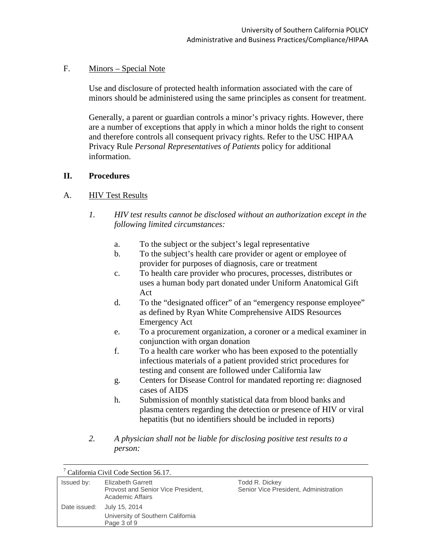#### F. Minors – Special Note

Use and disclosure of protected health information associated with the care of minors should be administered using the same principles as consent for treatment.

Generally, a parent or guardian controls a minor's privacy rights. However, there are a number of exceptions that apply in which a minor holds the right to consent and therefore controls all consequent privacy rights. Refer to the USC HIPAA Privacy Rule *Personal Representatives of Patients* policy for additional information.

#### **II. Procedures**

#### A. HIV Test Results

- *1. HIV test results cannot be disclosed without an authorization except in the following limited circumstances:*
	- a. To the subject or the subject's legal representative
	- b. To the subject's health care provider or agent or employee of provider for purposes of diagnosis, care or treatment
	- c. To health care provider who procures, processes, distributes or uses a human body part donated under Uniform Anatomical Gift Act
	- d. To the "designated officer" of an "emergency response employee" as defined by Ryan White Comprehensive AIDS Resources Emergency Act
	- e. To a procurement organization, a coroner or a medical examiner in conjunction with organ donation
	- f. To a health care worker who has been exposed to the potentially infectious materials of a patient provided strict procedures for testing and consent are followed under California law
	- g. Centers for Disease Control for mandated reporting re: diagnosed cases of AIDS
	- h. Submission of monthly statistical data from blood banks and plasma centers regarding the detection or presence of HIV or viral hepatitis (but no identifiers should be included in reports)
- *2. A physician shall not be liable for disclosing positive test results to a person:*

|              | California Civil Code Section 56.17.                                               |                                                         |
|--------------|------------------------------------------------------------------------------------|---------------------------------------------------------|
| Issued by:   | <b>Elizabeth Garrett</b><br>Provost and Senior Vice President,<br>Academic Affairs | Todd R. Dickey<br>Senior Vice President, Administration |
| Date issued: | July 15, 2014<br>University of Southern California<br>Page 3 of 9                  |                                                         |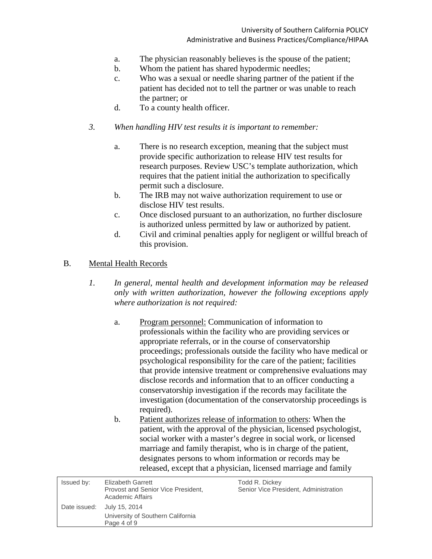- a. The physician reasonably believes is the spouse of the patient;
- b. Whom the patient has shared hypodermic needles;
- c. Who was a sexual or needle sharing partner of the patient if the patient has decided not to tell the partner or was unable to reach the partner; or
- d. To a county health officer.
- *3. When handling HIV test results it is important to remember:*
	- a. There is no research exception, meaning that the subject must provide specific authorization to release HIV test results for research purposes. Review USC's template authorization, which requires that the patient initial the authorization to specifically permit such a disclosure.
	- b. The IRB may not waive authorization requirement to use or disclose HIV test results.
	- c. Once disclosed pursuant to an authorization, no further disclosure is authorized unless permitted by law or authorized by patient.
	- d. Civil and criminal penalties apply for negligent or willful breach of this provision.
- B. Mental Health Records
	- *1. In general, mental health and development information may be released only with written authorization, however the following exceptions apply where authorization is not required:*
		- a. Program personnel: Communication of information to professionals within the facility who are providing services or appropriate referrals, or in the course of conservatorship proceedings; professionals outside the facility who have medical or psychological responsibility for the care of the patient; facilities that provide intensive treatment or comprehensive evaluations may disclose records and information that to an officer conducting a conservatorship investigation if the records may facilitate the investigation (documentation of the conservatorship proceedings is required).
		- b. Patient authorizes release of information to others: When the patient, with the approval of the physician, licensed psychologist, social worker with a master's degree in social work, or licensed marriage and family therapist, who is in charge of the patient, designates persons to whom information or records may be released, except that a physician, licensed marriage and family

| Issued by: | Elizabeth Garrett<br>Provost and Senior Vice President,<br>Academic Affairs    | Todd R. Dickey<br>Senior Vice President, Administration |
|------------|--------------------------------------------------------------------------------|---------------------------------------------------------|
|            | Date issued: July 15, 2014<br>University of Southern California<br>Page 4 of 9 |                                                         |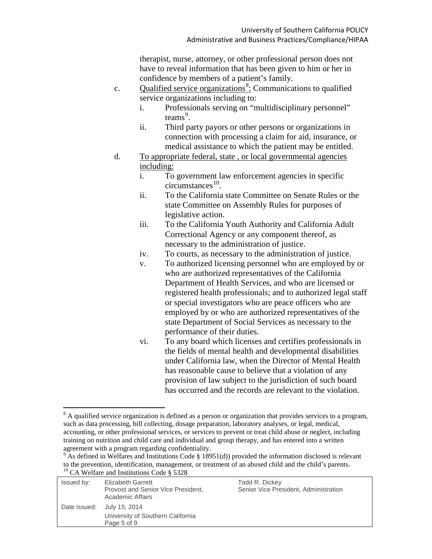therapist, nurse, attorney, or other professional person does not have to reveal information that has been given to him or her in confidence by members of a patient's family.

- c. Qualified service organizations<sup>[8](#page-4-0)</sup>: Communications to qualified service organizations including to:
	- i. Professionals serving on "multidisciplinary personnel" teams<sup>[9](#page-4-1)</sup>.
	- ii. Third party payors or other persons or organizations in connection with processing a claim for aid, insurance, or medical assistance to which the patient may be entitled.
- d. To appropriate federal, state , or local governmental agencies including:
	- i. To government law enforcement agencies in specific  $circumstances<sup>10</sup>$ .
	- ii. To the California state Committee on Senate Rules or the state Committee on Assembly Rules for purposes of legislative action.
	- iii. To the California Youth Authority and California Adult Correctional Agency or any component thereof, as necessary to the administration of justice.
	- iv. To courts, as necessary to the administration of justice.
	- v. To authorized licensing personnel who are employed by or who are authorized representatives of the California Department of Health Services, and who are licensed or registered health professionals; and to authorized legal staff or special investigators who are peace officers who are employed by or who are authorized representatives of the state Department of Social Services as necessary to the performance of their duties.
	- vi. To any board which licenses and certifies professionals in the fields of mental health and developmental disabilities under California law, when the Director of Mental Health has reasonable cause to believe that a violation of any provision of law subject to the jurisdiction of such board has occurred and the records are relevant to the violation.

 $9$  As defined in Welfares and Institutions Code § 18951(d)) provided the information disclosed is relevant to the prevention, identification, management, or treatment of an abused child and the child's parents.  $^{10}$  CA Welfare and Institutions Code § 5328

<span id="page-4-2"></span><span id="page-4-1"></span>

| Issued by:   | Elizabeth Garrett<br>Provost and Senior Vice President,<br>Academic Affairs | Todd R. Dickey<br>Senior Vice President, Administration |
|--------------|-----------------------------------------------------------------------------|---------------------------------------------------------|
| Date issued: | July 15, 2014<br>University of Southern California<br>Page 5 of 9           |                                                         |

<span id="page-4-0"></span><sup>&</sup>lt;sup>8</sup> A qualified service organization is defined as a person or organization that provides services to a program, such as data processing, bill collecting, dosage preparation, laboratory analyses, or legal, medical, accounting, or other professional services, or services to prevent or treat child abuse or neglect, including training on nutrition and child care and individual and group therapy, and has entered into a written agreement with a program regarding confidentiality.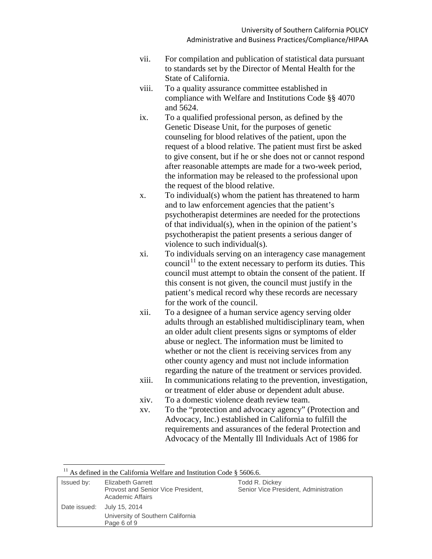- vii. For compilation and publication of statistical data pursuant to standards set by the Director of Mental Health for the State of California.
- viii. To a quality assurance committee established in compliance with Welfare and Institutions Code §§ 4070 and 5624.
- ix. To a qualified professional person, as defined by the Genetic Disease Unit, for the purposes of genetic counseling for blood relatives of the patient, upon the request of a blood relative. The patient must first be asked to give consent, but if he or she does not or cannot respond after reasonable attempts are made for a two-week period, the information may be released to the professional upon the request of the blood relative.
- x. To individual(s) whom the patient has threatened to harm and to law enforcement agencies that the patient's psychotherapist determines are needed for the protections of that individual(s), when in the opinion of the patient's psychotherapist the patient presents a serious danger of violence to such individual(s).
- xi. To individuals serving on an interagency case management council<sup>[11](#page-5-0)</sup> to the extent necessary to perform its duties. This council must attempt to obtain the consent of the patient. If this consent is not given, the council must justify in the patient's medical record why these records are necessary for the work of the council.
- xii. To a designee of a human service agency serving older adults through an established multidisciplinary team, when an older adult client presents signs or symptoms of elder abuse or neglect. The information must be limited to whether or not the client is receiving services from any other county agency and must not include information regarding the nature of the treatment or services provided.
- xiii. In communications relating to the prevention, investigation, or treatment of elder abuse or dependent adult abuse.
- xiv. To a domestic violence death review team.
- xv. To the "protection and advocacy agency" (Protection and Advocacy, Inc.) established in California to fulfill the requirements and assurances of the federal Protection and Advocacy of the Mentally Ill Individuals Act of 1986 for

<sup>11</sup> As defined in the California Welfare and Institution Code § 5606.6.

<span id="page-5-0"></span>

| Issued by: | Elizabeth Garrett<br>Provost and Senior Vice President,<br>Academic Affairs | Todd R. Dickey<br>Senior Vice President, Administration |
|------------|-----------------------------------------------------------------------------|---------------------------------------------------------|
|            | Date issued: July 15, 2014                                                  |                                                         |
|            | University of Southern California                                           |                                                         |
|            | Page 6 of 9                                                                 |                                                         |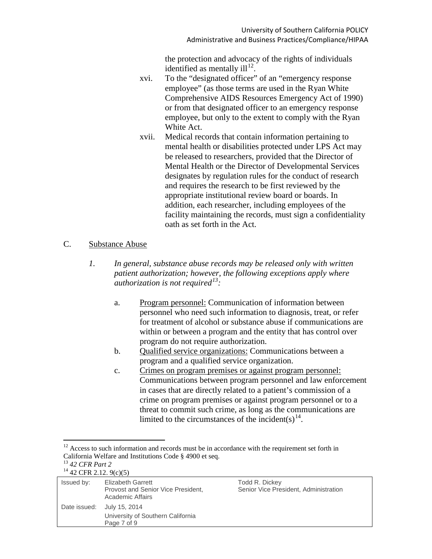the protection and advocacy of the rights of individuals identified as mentally ill<sup>12</sup>.

- xvi. To the "designated officer" of an "emergency response employee" (as those terms are used in the Ryan White Comprehensive AIDS Resources Emergency Act of 1990) or from that designated officer to an emergency response employee, but only to the extent to comply with the Ryan White Act.
- xvii. Medical records that contain information pertaining to mental health or disabilities protected under LPS Act may be released to researchers, provided that the Director of Mental Health or the Director of Developmental Services designates by regulation rules for the conduct of research and requires the research to be first reviewed by the appropriate institutional review board or boards. In addition, each researcher, including employees of the facility maintaining the records, must sign a confidentiality oath as set forth in the Act.

#### C. Substance Abuse

- *1. In general, substance abuse records may be released only with written patient authorization; however, the following exceptions apply where authorization is not required[13](#page-6-1) :*
	- a. Program personnel: Communication of information between personnel who need such information to diagnosis, treat, or refer for treatment of alcohol or substance abuse if communications are within or between a program and the entity that has control over program do not require authorization.
	- b. Qualified service organizations: Communications between a program and a qualified service organization.
	- c. Crimes on program premises or against program personnel: Communications between program personnel and law enforcement in cases that are directly related to a patient's commission of a crime on program premises or against program personnel or to a threat to commit such crime, as long as the communications are limited to the circumstances of the incident(s)<sup>14</sup>.

<span id="page-6-0"></span> $12$  Access to such information and records must be in accordance with the requirement set forth in California Welfare and Institutions Code § 4900 et seq.<br><sup>13</sup> 42 *CFR Part 2*<br><sup>14</sup>  $^{42}$  *CFR 2*.12. 9(c)(5)

<span id="page-6-2"></span><span id="page-6-1"></span>

| $+2$ CMN 2.12. $7000$ |                                                                             |                                                         |
|-----------------------|-----------------------------------------------------------------------------|---------------------------------------------------------|
| Issued by:            | Elizabeth Garrett<br>Provost and Senior Vice President,<br>Academic Affairs | Todd R. Dickey<br>Senior Vice President, Administration |
| Date issued:          | July 15, 2014<br>University of Southern California<br>Page 7 of 9           |                                                         |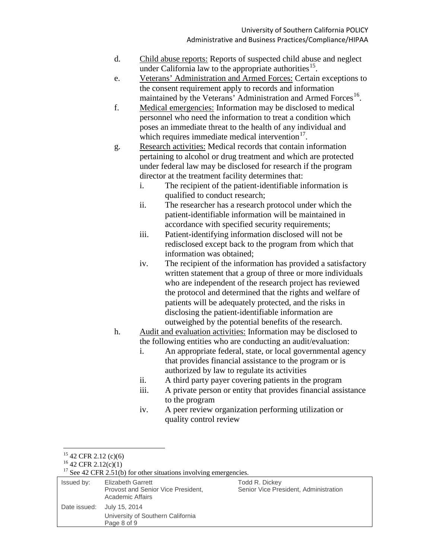- d. Child abuse reports: Reports of suspected child abuse and neglect under California law to the appropriate authorities<sup>[15](#page-7-0)</sup>.
- e. Veterans' Administration and Armed Forces: Certain exceptions to the consent requirement apply to records and information maintained by the Veterans' Administration and Armed Forces<sup>16</sup>.
- f. Medical emergencies: Information may be disclosed to medical personnel who need the information to treat a condition which poses an immediate threat to the health of any individual and which requires immediate medical intervention $17$ .
- g. Research activities: Medical records that contain information pertaining to alcohol or drug treatment and which are protected under federal law may be disclosed for research if the program director at the treatment facility determines that:
	- i. The recipient of the patient-identifiable information is qualified to conduct research;
	- ii. The researcher has a research protocol under which the patient-identifiable information will be maintained in accordance with specified security requirements;
	- iii. Patient-identifying information disclosed will not be redisclosed except back to the program from which that information was obtained;
	- iv. The recipient of the information has provided a satisfactory written statement that a group of three or more individuals who are independent of the research project has reviewed the protocol and determined that the rights and welfare of patients will be adequately protected, and the risks in disclosing the patient-identifiable information are outweighed by the potential benefits of the research.
- h. Audit and evaluation activities: Information may be disclosed to the following entities who are conducting an audit/evaluation:
	- i. An appropriate federal, state, or local governmental agency that provides financial assistance to the program or is authorized by law to regulate its activities
	- ii. A third party payer covering patients in the program
	- iii. A private person or entity that provides financial assistance to the program
	- iv. A peer review organization performing utilization or quality control review

<sup>&</sup>lt;sup>15</sup> 42 CFR 2.12 (c)(6)<br><sup>16</sup> 42 CFR 2.12(c)(1)<br><sup>17</sup> See 42 CFR 2.51(b) for other situations involving emergencies.

<span id="page-7-2"></span><span id="page-7-1"></span><span id="page-7-0"></span>

| Issued by: | Elizabeth Garrett<br>Provost and Senior Vice President,<br>Academic Affairs    | Todd R. Dickey<br>Senior Vice President, Administration |
|------------|--------------------------------------------------------------------------------|---------------------------------------------------------|
|            | Date issued: July 15, 2014<br>University of Southern California<br>Page 8 of 9 |                                                         |